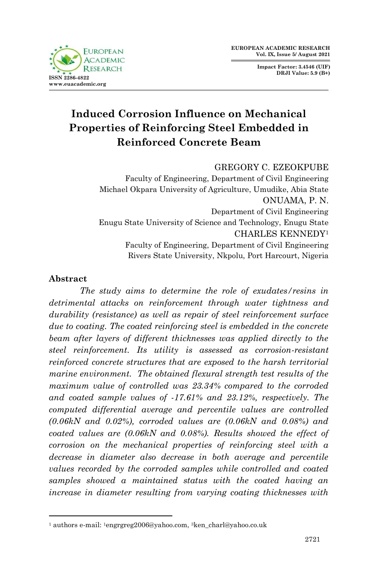**FUROPEAN ACADEMIC D** ESE **ISSN 2286-4822 www.euacademic.org**

**Impact Factor: 3.4546 (UIF) DRJI Value: 5.9 (B+)**

# **Induced Corrosion Influence on Mechanical Properties of Reinforcing Steel Embedded in Reinforced Concrete Beam**

#### GREGORY C. EZEOKPUBE

Faculty of Engineering, Department of Civil Engineering Michael Okpara University of Agriculture, Umudike, Abia State ONUAMA, P. N. Department of Civil Engineering Enugu State University of Science and Technology, Enugu State CHARLES KENNEDY<sup>1</sup> Faculty of Engineering, Department of Civil Engineering Rivers State University, Nkpolu, Port Harcourt, Nigeria

# **Abstract**

1

*The study aims to determine the role of exudates/resins in detrimental attacks on reinforcement through water tightness and durability (resistance) as well as repair of steel reinforcement surface due to coating. The coated reinforcing steel is embedded in the concrete beam after layers of different thicknesses was applied directly to the steel reinforcement. Its utility is assessed as corrosion-resistant reinforced concrete structures that are exposed to the harsh territorial marine environment. The obtained flexural strength test results of the maximum value of controlled was 23.34% compared to the corroded and coated sample values of -17.61% and 23.12%, respectively. The computed differential average and percentile values are controlled (0.06kN and 0.02%), corroded values are (0.06kN and 0.08%) and coated values are (0.06kN and 0.08%). Results showed the effect of corrosion on the mechanical properties of reinforcing steel with a decrease in diameter also decrease in both average and percentile values recorded by the corroded samples while controlled and coated samples showed a maintained status with the coated having an increase in diameter resulting from varying coating thicknesses with* 

<sup>1</sup> authors e-mail: 1engrgreg2006@yahoo.com, 3ken\_charl@yahoo.co.uk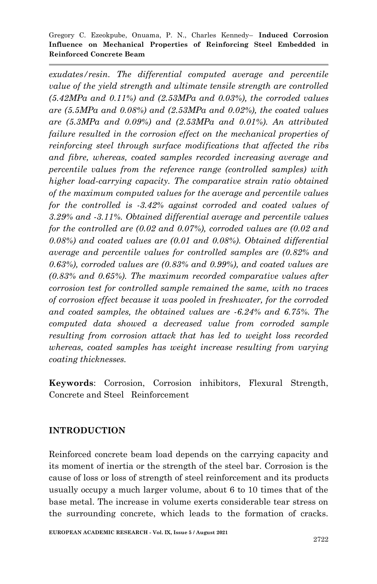*exudates/resin. The differential computed average and percentile value of the yield strength and ultimate tensile strength are controlled (5.42MPa and 0.11%) and (2.53MPa and 0.03%), the corroded values are (5.5MPa and 0.08%) and (2.53MPa and 0.02%), the coated values are (5.3MPa and 0.09%) and (2.53MPa and 0.01%). An attributed*  failure resulted in the corrosion effect on the mechanical properties of *reinforcing steel through surface modifications that affected the ribs and fibre, whereas, coated samples recorded increasing average and percentile values from the reference range (controlled samples) with higher load-carrying capacity. The comparative strain ratio obtained of the maximum computed values for the average and percentile values for the controlled is -3.42% against corroded and coated values of 3.29% and -3.11%. Obtained differential average and percentile values for the controlled are (0.02 and 0.07%), corroded values are (0.02 and 0.08%) and coated values are (0.01 and 0.08%). Obtained differential average and percentile values for controlled samples are (0.82% and 0.63%), corroded values are (0.83% and 0.99%), and coated values are (0.83% and 0.65%). The maximum recorded comparative values after corrosion test for controlled sample remained the same, with no traces of corrosion effect because it was pooled in freshwater, for the corroded and coated samples, the obtained values are -6.24% and 6.75%. The computed data showed a decreased value from corroded sample resulting from corrosion attack that has led to weight loss recorded whereas, coated samples has weight increase resulting from varying coating thicknesses.*

**Keywords**: Corrosion, Corrosion inhibitors, Flexural Strength, Concrete and Steel Reinforcement

# **INTRODUCTION**

Reinforced concrete beam load depends on the carrying capacity and its moment of inertia or the strength of the steel bar. Corrosion is the cause of loss or loss of strength of steel reinforcement and its products usually occupy a much larger volume, about 6 to 10 times that of the base metal. The increase in volume exerts considerable tear stress on the surrounding concrete, which leads to the formation of cracks.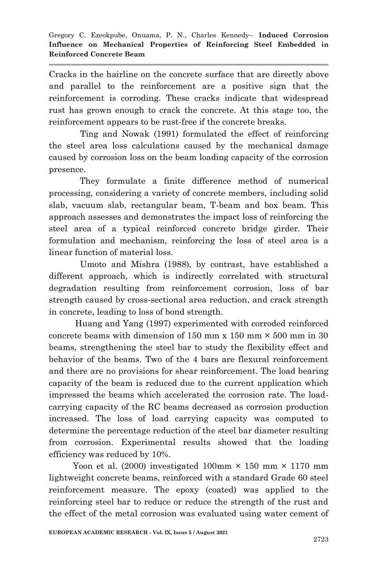Cracks in the hairline on the concrete surface that are directly above and parallel to the reinforcement are a positive sign that the reinforcement is corroding. These cracks indicate that widespread rust has grown enough to crack the concrete. At this stage too, the reinforcement appears to be rust-free if the concrete breaks.

 Ting and Nowak (1991) formulated the effect of reinforcing the steel area loss calculations caused by the mechanical damage caused by corrosion loss on the beam loading capacity of the corrosion presence.

They formulate a finite difference method of numerical processing, considering a variety of concrete members, including solid slab, vacuum slab, rectangular beam, T-beam and box beam. This approach assesses and demonstrates the impact loss of reinforcing the steel area of a typical reinforced concrete bridge girder. Their formulation and mechanism, reinforcing the loss of steel area is a linear function of material loss.

 Umoto and Mishra (1988), by contrast, have established a different approach, which is indirectly correlated with structural degradation resulting from reinforcement corrosion, loss of bar strength caused by cross-sectional area reduction, and crack strength in concrete, leading to loss of bond strength.

 Huang and Yang (1997) experimented with corroded reinforced concrete beams with dimension of 150 mm  $x$  150 mm  $\times$  500 mm in 30 beams, strengthening the steel bar to study the flexibility effect and behavior of the beams. Two of the 4 bars are flexural reinforcement and there are no provisions for shear reinforcement. The load bearing capacity of the beam is reduced due to the current application which impressed the beams which accelerated the corrosion rate. The loadcarrying capacity of the RC beams decreased as corrosion production increased. The loss of load carrying capacity was computed to determine the percentage reduction of the steel bar diameter resulting from corrosion. Experimental results showed that the loading efficiency was reduced by 10%.

Yoon et al. (2000) investigated 100mm  $\times$  150 mm  $\times$  1170 mm lightweight concrete beams, reinforced with a standard Grade 60 steel reinforcement measure. The epoxy (coated) was applied to the reinforcing steel bar to reduce or reduce the strength of the rust and the effect of the metal corrosion was evaluated using water cement of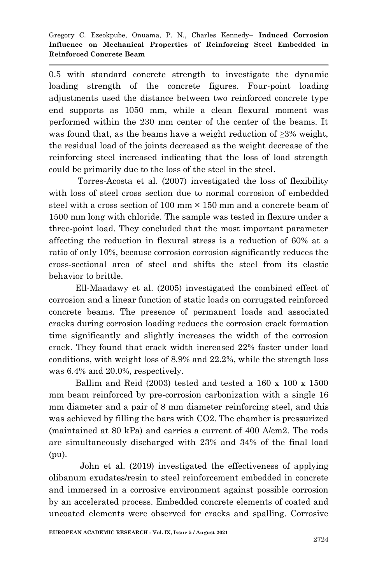0.5 with standard concrete strength to investigate the dynamic loading strength of the concrete figures. Four-point loading adjustments used the distance between two reinforced concrete type end supports as 1050 mm, while a clean flexural moment was performed within the 230 mm center of the center of the beams. It was found that, as the beams have a weight reduction of ≥3% weight, the residual load of the joints decreased as the weight decrease of the reinforcing steel increased indicating that the loss of load strength could be primarily due to the loss of the steel in the steel.

 Torres-Acosta et al. (2007) investigated the loss of flexibility with loss of steel cross section due to normal corrosion of embedded steel with a cross section of 100 mm  $\times$  150 mm and a concrete beam of 1500 mm long with chloride. The sample was tested in flexure under a three-point load. They concluded that the most important parameter affecting the reduction in flexural stress is a reduction of 60% at a ratio of only 10%, because corrosion corrosion significantly reduces the cross-sectional area of steel and shifts the steel from its elastic behavior to brittle.

 Ell-Maadawy et al. (2005) investigated the combined effect of corrosion and a linear function of static loads on corrugated reinforced concrete beams. The presence of permanent loads and associated cracks during corrosion loading reduces the corrosion crack formation time significantly and slightly increases the width of the corrosion crack. They found that crack width increased 22% faster under load conditions, with weight loss of 8.9% and 22.2%, while the strength loss was 6.4% and 20.0%, respectively.

 Ballim and Reid (2003) tested and tested a 160 x 100 x 1500 mm beam reinforced by pre-corrosion carbonization with a single 16 mm diameter and a pair of 8 mm diameter reinforcing steel, and this was achieved by filling the bars with CO2. The chamber is pressurized (maintained at 80 kPa) and carries a current of 400 A/cm2. The rods are simultaneously discharged with 23% and 34% of the final load (pu).

 John et al. (2019) investigated the effectiveness of applying olibanum exudates/resin to steel reinforcement embedded in concrete and immersed in a corrosive environment against possible corrosion by an accelerated process. Embedded concrete elements of coated and uncoated elements were observed for cracks and spalling. Corrosive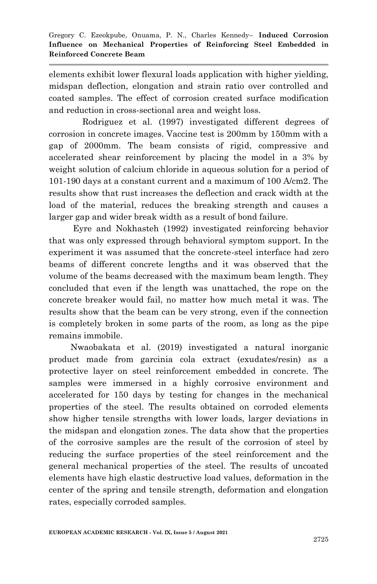elements exhibit lower flexural loads application with higher yielding, midspan deflection, elongation and strain ratio over controlled and coated samples. The effect of corrosion created surface modification and reduction in cross-sectional area and weight loss.

 Rodriguez et al. (1997) investigated different degrees of corrosion in concrete images. Vaccine test is 200mm by 150mm with a gap of 2000mm. The beam consists of rigid, compressive and accelerated shear reinforcement by placing the model in a 3% by weight solution of calcium chloride in aqueous solution for a period of 101-190 days at a constant current and a maximum of 100 A/cm2. The results show that rust increases the deflection and crack width at the load of the material, reduces the breaking strength and causes a larger gap and wider break width as a result of bond failure.

 Eyre and Nokhasteh (1992) investigated reinforcing behavior that was only expressed through behavioral symptom support. In the experiment it was assumed that the concrete-steel interface had zero beams of different concrete lengths and it was observed that the volume of the beams decreased with the maximum beam length. They concluded that even if the length was unattached, the rope on the concrete breaker would fail, no matter how much metal it was. The results show that the beam can be very strong, even if the connection is completely broken in some parts of the room, as long as the pipe remains immobile.

 Nwaobakata et al. (2019) investigated a natural inorganic product made from garcinia cola extract (exudates/resin) as a protective layer on steel reinforcement embedded in concrete. The samples were immersed in a highly corrosive environment and accelerated for 150 days by testing for changes in the mechanical properties of the steel. The results obtained on corroded elements show higher tensile strengths with lower loads, larger deviations in the midspan and elongation zones. The data show that the properties of the corrosive samples are the result of the corrosion of steel by reducing the surface properties of the steel reinforcement and the general mechanical properties of the steel. The results of uncoated elements have high elastic destructive load values, deformation in the center of the spring and tensile strength, deformation and elongation rates, especially corroded samples.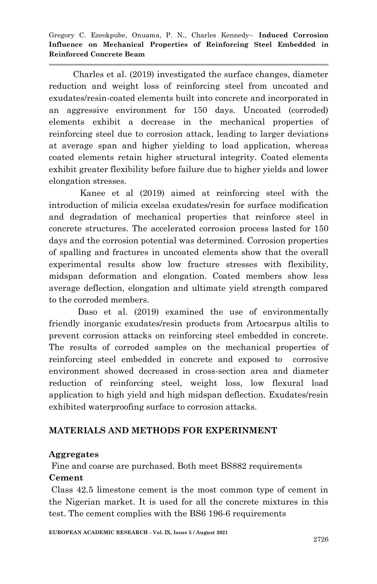Charles et al. (2019) investigated the surface changes, diameter reduction and weight loss of reinforcing steel from uncoated and exudates/resin-coated elements built into concrete and incorporated in an aggressive environment for 150 days. Uncoated (corroded) elements exhibit a decrease in the mechanical properties of reinforcing steel due to corrosion attack, leading to larger deviations at average span and higher yielding to load application, whereas coated elements retain higher structural integrity. Coated elements exhibit greater flexibility before failure due to higher yields and lower elongation stresses.

 Kanee et al (2019) aimed at reinforcing steel with the introduction of milicia excelsa exudates/resin for surface modification and degradation of mechanical properties that reinforce steel in concrete structures. The accelerated corrosion process lasted for 150 days and the corrosion potential was determined. Corrosion properties of spalling and fractures in uncoated elements show that the overall experimental results show low fracture stresses with flexibility, midspan deformation and elongation. Coated members show less average deflection, elongation and ultimate yield strength compared to the corroded members.

 Daso et al. (2019) examined the use of environmentally friendly inorganic exudates/resin products from Artocarpus altilis to prevent corrosion attacks on reinforcing steel embedded in concrete. The results of corroded samples on the mechanical properties of reinforcing steel embedded in concrete and exposed to corrosive environment showed decreased in cross-section area and diameter reduction of reinforcing steel, weight loss, low flexural load application to high yield and high midspan deflection. Exudates/resin exhibited waterproofing surface to corrosion attacks.

# **MATERIALS AND METHODS FOR EXPERINMENT**

#### **Aggregates**

Fine and coarse are purchased. Both meet BS882 requirements

#### **Cement**

Class 42.5 limestone cement is the most common type of cement in the Nigerian market. It is used for all the concrete mixtures in this test. The cement complies with the BS6 196-6 requirements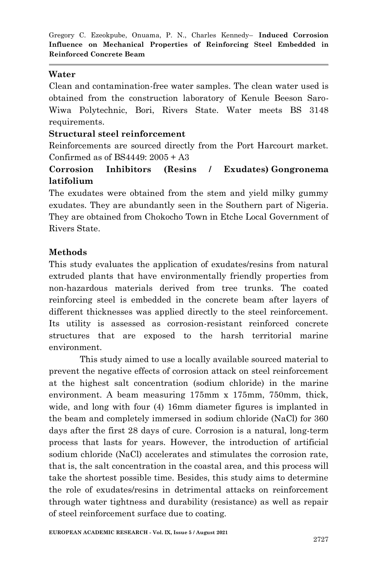# **Water**

Clean and contamination-free water samples. The clean water used is obtained from the construction laboratory of Kenule Beeson Saro-Wiwa Polytechnic, Bori, Rivers State. Water meets BS 3148 requirements.

#### **Structural steel reinforcement**

Reinforcements are sourced directly from the Port Harcourt market. Confirmed as of BS4449: 2005 + A3

# **Corrosion Inhibitors (Resins / Exudates) Gongronema latifolium**

The exudates were obtained from the stem and yield milky gummy exudates. They are abundantly seen in the Southern part of Nigeria. They are obtained from Chokocho Town in Etche Local Government of Rivers State.

# **Methods**

This study evaluates the application of exudates/resins from natural extruded plants that have environmentally friendly properties from non-hazardous materials derived from tree trunks. The coated reinforcing steel is embedded in the concrete beam after layers of different thicknesses was applied directly to the steel reinforcement. Its utility is assessed as corrosion-resistant reinforced concrete structures that are exposed to the harsh territorial marine environment.

This study aimed to use a locally available sourced material to prevent the negative effects of corrosion attack on steel reinforcement at the highest salt concentration (sodium chloride) in the marine environment. A beam measuring 175mm x 175mm, 750mm, thick, wide, and long with four (4) 16mm diameter figures is implanted in the beam and completely immersed in sodium chloride (NaCl) for 360 days after the first 28 days of cure. Corrosion is a natural, long-term process that lasts for years. However, the introduction of artificial sodium chloride (NaCl) accelerates and stimulates the corrosion rate, that is, the salt concentration in the coastal area, and this process will take the shortest possible time. Besides, this study aims to determine the role of exudates/resins in detrimental attacks on reinforcement through water tightness and durability (resistance) as well as repair of steel reinforcement surface due to coating.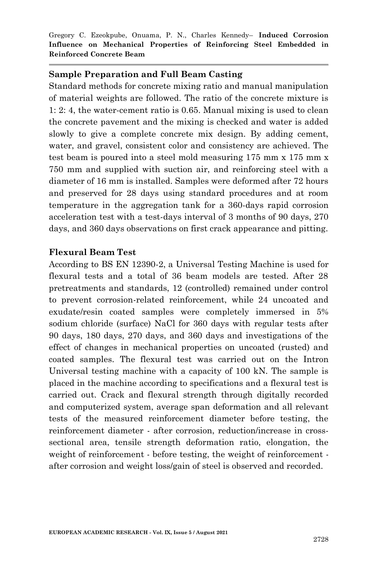#### **Sample Preparation and Full Beam Casting**

Standard methods for concrete mixing ratio and manual manipulation of material weights are followed. The ratio of the concrete mixture is 1: 2: 4, the water-cement ratio is 0.65. Manual mixing is used to clean the concrete pavement and the mixing is checked and water is added slowly to give a complete concrete mix design. By adding cement, water, and gravel, consistent color and consistency are achieved. The test beam is poured into a steel mold measuring 175 mm x 175 mm x 750 mm and supplied with suction air, and reinforcing steel with a diameter of 16 mm is installed. Samples were deformed after 72 hours and preserved for 28 days using standard procedures and at room temperature in the aggregation tank for a 360-days rapid corrosion acceleration test with a test-days interval of 3 months of 90 days, 270 days, and 360 days observations on first crack appearance and pitting.

#### **Flexural Beam Test**

According to BS EN 12390-2, a Universal Testing Machine is used for flexural tests and a total of 36 beam models are tested. After 28 pretreatments and standards, 12 (controlled) remained under control to prevent corrosion-related reinforcement, while 24 uncoated and exudate/resin coated samples were completely immersed in 5% sodium chloride (surface) NaCl for 360 days with regular tests after 90 days, 180 days, 270 days, and 360 days and investigations of the effect of changes in mechanical properties on uncoated (rusted) and coated samples. The flexural test was carried out on the Intron Universal testing machine with a capacity of 100 kN. The sample is placed in the machine according to specifications and a flexural test is carried out. Crack and flexural strength through digitally recorded and computerized system, average span deformation and all relevant tests of the measured reinforcement diameter before testing, the reinforcement diameter - after corrosion, reduction/increase in crosssectional area, tensile strength deformation ratio, elongation, the weight of reinforcement - before testing, the weight of reinforcement after corrosion and weight loss/gain of steel is observed and recorded.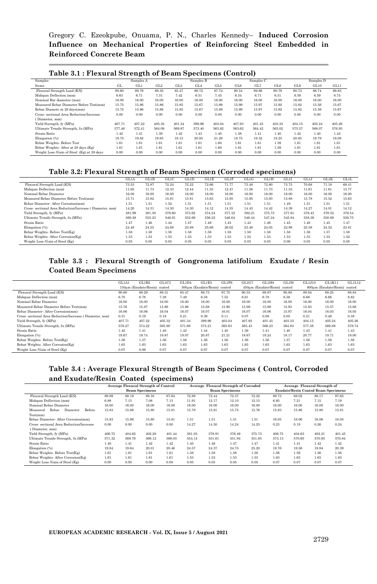Gregory C. Ezeokpube, Onuama, P. N., Charles Kennedy– **Induced Corrosion Influence on Mechanical Properties of Reinforcing Steel Embedded in Reinforced Concrete Beam**

| Samples                                    | Samples A |        |                 | Samples B       |                 |        |        | Samples C |            | Samples D |        |        |
|--------------------------------------------|-----------|--------|-----------------|-----------------|-----------------|--------|--------|-----------|------------|-----------|--------|--------|
| Items                                      | GL.       | GL1    | GL <sub>2</sub> | GL <sub>3</sub> | GL <sub>4</sub> | GL5    | GL6    | GL7       | <b>GLS</b> | GL9       | GL10   | GL11   |
| Flexural Strength Load (KN)                | 90.60     | 89.79  | 89.30           | 85.47           | 89.72           | 87.74  | 90.54  | 89.86     | 90.79      | 90.73     | 88.74  | 89.83  |
| Midspan Deflection (mm)                    | 6.63      | 6.71   | 731             | 7.42            | 6.51            | 7.45   | 6.54   | 6.71      | 6.51       | 6.59      | 6.59   | 8.75   |
| Nominal Bar diameter (mm)                  | 16.00     | 16.00  | 16.00           | 16.00           | 16.00           | 16.00  | 16.00  | 16.00     | 16.00      | 16.00     | 16.00  | 16.00  |
| Measured Rebar Diameter Before Test(mm)    | 15.75     | 15.86  | 15.86           | 15.85           | 15.67           | 15.89  | 15.99  | 15.97     | 15.92      | 15.82     | 15.56  | 15.67  |
| Rebar Diamete at 28 days(mm)               | 15.75     | 15.86  | 15.86           | 15.85           | 15.67           | 15.89  | 15.99  | 15.97     | 15.92      | 15.82     | 15.56  | 15.67  |
| Cross-sectional Area Reduction/Increase    | 0.00      | 0.00   | 0.00            | 0.00            | 0.00            | 0.00   | 0.00   | 0.00      | 0.00       | 0.00      | 0.00   | 0.00   |
| Diameter, mm)                              |           |        |                 |                 |                 |        |        |           |            |           |        |        |
| Yield Strength, fy (MPa)                   | 407.71    | 407.22 | 405.32          | 401.34          | 399.96          | 403.04 | 407.93 | 401.45    | 403.33     | 404.15    | 405.24 | 405.26 |
| Ultimate Tensile Strength, fu (MPa)        | 577.46    | 572.41 | 564.09          | 569.87          | 573.40          | 563.82 | 563.62 | 564.42    | 563.02     | 575.57    | 568.07 | 576.93 |
| Strain Ratio                               | 1.42      | 1.41   | 1.39            | 1.42            | 1.43            | 1.40   | 1.38   | 1.41      | 1.40       | 1.42      | 1.40   | 1.42   |
| Elongation (%)                             | 19.75     | 19.82  | 19.95           | 19.15           | 20.95           | 21.29  | 18.75  | 19.32     | 18.25      | 20.85     | 19.79  | 19.08  |
| Rebar Weights- Before Test                 | 1.61      | 1.61   | 1.61            | 1.61            | 1.61            | 1.60   | 1.61   | 1.61      | 1.59       | 1.61      | 1.61   | 1.61   |
| Rebar Weights- After at 28 days (Kg)       | 1.61      | 1.61   | 1.61            | 1.61            | 1.61            | 1.60   | 1.61   | 1.61      | 1.59       | 1.61      | 1.61   | 1.61   |
| Weight Loss /Gain of Steel (Kg) at 28 days | 0.00      | 0.00   | 0.00            | 0.00            | 0.00            | 0.00   | 0.00   | 0.00      | 0.00       | 0.00      | 0.00   | 0.00   |

#### **Table 3.2: Flexural Strength of Beam Specimen (Corroded specimens)**

|                                                         | GL1A   | GL1B   | GL1C   | GL1D   | GL1E   | <b>GL1F</b> | GL1G   | GL1H   | GL1I   | GL1J   | <b>GL1K</b> | GL1L   |
|---------------------------------------------------------|--------|--------|--------|--------|--------|-------------|--------|--------|--------|--------|-------------|--------|
| Flexural Strength Load (KN)                             | 73.53  | 72.87  | 72.24  | 72.22  | 72.66  | 71.77       | 73.48  | 72.80  | 73.73  | 70.68  | 71.18       | 68.41  |
| Midspan Deflection (mm)                                 | 11.65  | 11.73  | 12.33  | 12.44  | 11.53  | 12.47       | 11.56  | 11.73  | 11.53  | 11.61  | 11.61       | 13.77  |
| Nominal Rebar Diameter                                  | 16.00  | 16.00  | 16.00  | 16.00  | 16.00  | 16.00       | 16.00  | 16.00  | 16.00  | 16.00  | 16.00       | 16.00  |
| Measured Rebar Diameter Before Test(mm)                 | 15.71  | 15.82  | 15.81  | 15.81  | 15.63  | 15.85       | 15.95  | 15.93  | 15.88  | 15.78  | 15.52       | 15.63  |
| Rebar Diameter- After Corrosion(mm)                     | 1.51   | 1.51   | 1.52   | 1.51   | 1.51   | 1.51        | 1.51   | 1.51   | 1.49   | 1.51   | 1.51        | 1.51   |
| Cross- sectional Area Reduction/Increase (Diameter, mm) | 14.20  | 14.31  | 14.30  | 14.30  | 14.12  | 14.35       | 14.43  | 14.42  | 14.39  | 14.27  | 14.01       | 14.12  |
| Yield Strength, fy (MPa)                                | 381.99 | 381.50 | 379.60 | 375.62 | 374.24 | 377.32      | 382.21 | 375.73 | 377.61 | 378.43 | 379.52      | 379.54 |
| Ultimate Tensile Strength, fu (MPa)                     | 560.28 | 555.23 | 546.91 | 552.69 | 556.22 | 546.64      | 546.44 | 547.24 | 545.84 | 558.39 | 550.89      | 559.75 |
| Strain Ratio                                            | 1.47   | 1.46   | 1.44   | 1.47   | 1.49   | 1.45        | 1.43   | 1.46   | 1.45   | 1.48   | 1.45        | 1.47   |
| Elongation (%)                                          | 24.48  | 24.55  | 24.68  | 23.88  | 25.68  | 26.02       | 23.48  | 24.05  | 22.98  | 25.58  | 24.52       | 23.81  |
| Rebar Weights- Before Test(Kg)                          | 1.58   | 1.58   | 1.58   | 1.58   | 1.58   | 1.58        | 1.58   | 1.58   | 1.58   | 1.58   | 1.57        | 1.58   |
| Rebar Weights- After Corrosion(Kg)                      | 1.53   | 1.53   | 1.53   | 1.53   | 1.53   | 1.53        | 1.52   | 1.53   | 1.53   | 1.53   | 1.53        | 1.52   |
| Weight Loss /Gain of Steel (Kg)                         | 0.05   | 0.05   | 0.05   | 0.05   | 0.05   | 0.05        | 0.05   | 0.05   | 0.06   | 0.05   | 0.05        | 0.05   |

#### **Table 3.3 : Flexural Strength of Gongronema latifolium Exudate / Resin Coated Beam Specimens**

|                                                         | GL1A1  | GL1B2                        | GL1C3  | GL1D4  | GL1E5                        | GL1F6  | GL1G7  | GL1H8                        | GL1I9  | GL1J10 | GL1K11                       | GL1L12 |
|---------------------------------------------------------|--------|------------------------------|--------|--------|------------------------------|--------|--------|------------------------------|--------|--------|------------------------------|--------|
|                                                         |        | 150um (Exudate/Resin) coated |        |        | 300um (Exudate/Resin) coated |        |        | 450um (Exudate/Resin) coated |        |        | 600um (Exudate/Resin) coated |        |
| Flexural Strength Load (KN)                             | 90.60  | 89.29                        | 89.31  | 85.47  | 89.73                        | 87.75  | 90.55  | 89.87                        | 90.80  | 89.94  | 88.25                        | 88.84  |
| Midspan Deflection (mm)                                 | 6.70   | 6.78                         | 7.38   | 7.49   | 6.58                         | 7.52   | 6.61   | 6.78                         | 6.58   | 6.66   | 6.66                         | 8.82   |
| Nominal Rebar Diameter                                  | 16.00  | 16.00                        | 16.00  | 16.00  | 16.00                        | 16.00  | 16.00  | 16.00                        | 16.00  | 16.00  | 16.00                        | 16.00  |
| Measured Rebar Diameter Before Test(mm)                 | 15.76  | 15.87                        | 15.86  | 15.86  | 15.68                        | 15.90  | 15.99  | 15.98                        | 15.93  | 15.83  | 15.57                        | 15.68  |
| Rebar Diameter-After Corrosion(mm)                      | 16.06  | 16.06                        | 16.04  | 16.07  | 16.07                        | 16.01  | 16.07  | 16.06                        | 15.97  | 16.04  | 16.03                        | 16.05  |
| Cross- sectional Area Reduction/Increase (Diameter, mm) | 0.31   | 0.19                         | 0.18   | 0.21   | 0.39                         | 0.11   | 0.07   | 0.08                         | 0.05   | 0.21   | 0.46                         | 0.38   |
| Yield Strength, fv (MPa)                                | 407.71 | 407.22                       | 405.32 | 401.34 | 399.96                       | 403.04 | 407.93 | 401.45                       | 403.33 | 404.15 | 405.24                       | 405.26 |
| Ultimate Tensile Strength, fu (MPa)                     | 579.27 | 574.22                       | 565.90 | 571.68 | 575.21                       | 565.63 | 565.43 | 566.23                       | 564.83 | 577.38 | 569.88                       | 578.74 |
| Strain Ratio                                            | 1.42   | 1.41                         | 1.40   | 1.42   | 1.44                         | 1.40   | 1.39   | 1.41                         | 1.40   | 1.43   | 1.41                         | 1.43   |
| Elongation (%)                                          | 19.67  | 19.74                        | 19.87  | 19.07  | 20.87                        | 21.21  | 18.67  | 19.24                        | 18.17  | 20.77  | 19.71                        | 19.00  |
| Rebar Weights- Before Test(Kg)                          | 1.56   | 1.57                         | 1.56   | 1.56   | 1.56                         | 1.56   | 1.56   | 1.56                         | 1.57   | 1.56   | 1.56                         | 1.56   |
| Rebar Weights-After Corrosion(Kg)                       | 1.63   | 1.63                         | 1.63   | 1.63   | 1.63                         | 1.63   | 1.63   | 1.63                         | 1.63   | 1.63   | 1.63                         | 1.63   |
| Weight Loss /Gain of Steel (Kg)                         | 0.07   | 0.06                         | 0.07   | 0.07   | 0.07                         | 0.07   | 0.07   | 0.07                         | 0.07   | 0.07   | 0.07                         | 0.07   |

#### **Table 3.4 : Average Flexural Strength of Beam Specimens ( Control, Corroded and Exudate/Resin Coated (specimens)**

|                                         | Average Flexural Strength of Control |        |        |        |        | Average Flexural Strength of Corroded |                       |        | Average Flexural Strength of               |        |        |        |  |
|-----------------------------------------|--------------------------------------|--------|--------|--------|--------|---------------------------------------|-----------------------|--------|--------------------------------------------|--------|--------|--------|--|
|                                         | <b>Beam Specimens</b>                |        |        |        |        |                                       | <b>Beam Specimens</b> |        | <b>Exudate/Resin Coated Beam Specimens</b> |        |        |        |  |
| Flexural Strength Load (KN)             | 89.89                                | 88.19  | 88.16  | 87.64  | 72.88  | 72.44                                 | 72.37                 | 72.22  | 89.73                                      | 88.02  | 88.17  | 87.65  |  |
| Midspan Deflection (mm)                 | 6.88                                 | 7.15   | 7.08   | 7.13   | 11.91  | 12.17                                 | 12.10                 | 12.15  | 6.95                                       | 7.21   | 7.15   | 7.19   |  |
| Nominal Rebar Diameter                  | 16.00                                | 16.00  | 16.00  | 16.00  | 16.00  | 16.00                                 | 16.00                 | 16.00  | 16.00                                      | 16.00  | 16.00  | 16.00  |  |
| Rebar<br>Diameter<br>Before<br>Measured | 15.83                                | 15.86  | 15.80  | 15.81  | 15.78  | 15.81                                 | 15.75                 | 15.76  | 15.83                                      | 15.86  | 15.80  | 15.81  |  |
| Test(mm)                                |                                      |        |        |        |        |                                       |                       |        |                                            |        |        |        |  |
| Rebar Diameter- After Corrosion(mm)     | 15.83                                | 15.86  | 15.80  | 15.81  | 1.51   | 1.51                                  | 1.51                  | 1.51   | 16.05                                      | 16.06  | 16.06  | 16.05  |  |
| Cross-sectional Area Reduction/Increase | 0.00                                 | 0.00   | 0.00   | 0.00   | 14.27  | 14.30                                 | 14.24                 | 14.25  | 0.23                                       | 0.19   | 0.26   | 0.24   |  |
| Diameter, mm)                           |                                      |        |        |        |        |                                       |                       |        |                                            |        |        |        |  |
| Yield Strength, fy (MPa)                | 406.75                               | 404.62 | 402.20 | 401.44 | 381.03 | 378.91                                | 376.49                | 375.73 | 406.75                                     | 404.63 | 402.21 | 401.45 |  |
| Ultimate Tensile Strength, fu (MPa)     | 571.32                               | 568.79 | 569.12 | 569.03 | 554.14 | 551.61                                | 551.94                | 551.85 | 573.13                                     | 570.60 | 570.93 | 570.84 |  |
| Strain Ratio                            | 1.40                                 | 1.41   | 1.42   | 1.42   | 1.45   | 1.46                                  | 1.47                  | 1.47   | 1.41                                       | 1.41   | 1.42   | 1.42   |  |
| Elongation (%)                          | 19.84                                | 19.64  | 20.01  | 20.46  | 24.57  | 24.37                                 | 24.75                 | 25.20  | 19.76                                      | 19.56  | 19.94  | 20.39  |  |
| Rebar Weights- Before Test(Kg)          | 1.61                                 | 1.61   | 1.61   | 1.61   | 1.58   | 1.58                                  | 1.58                  | 1.58   | 1.56                                       | 1.56   | 1.56   | 1.56   |  |
| Rebar Weights- After Corrosion(Kg)      | 1.61                                 | 1.61   | 1.61   | 1.61   | 1.53   | 1.53                                  | 1.53                  | 1.53   | 1.63                                       | 1.63   | 1.63   | 1.63   |  |
| Weight Loss /Gain of Steel (Kg)         | 0.00                                 | 0.00   | 0.00   | 0.00   | 0.05   | 0.05                                  | 0.05                  | 0.05   | 0.07                                       | 0.07   | 0.07   | 0.07   |  |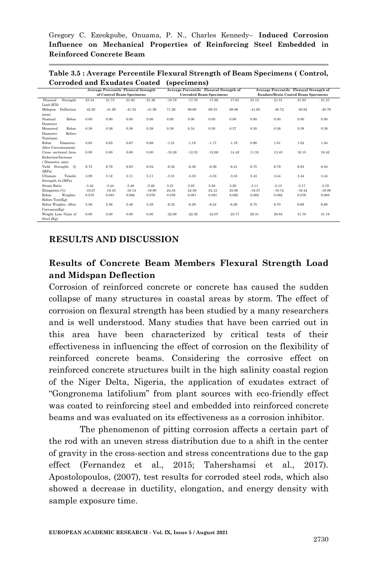Gregory C. Ezeokpube, Onuama, P. N., Charles Kennedy– **Induced Corrosion Influence on Mechanical Properties of Reinforcing Steel Embedded in Reinforced Concrete Beam**

**Table 3.5 : Average Percentile Flexural Strength of Beam Specimens ( Control, Corroded and Exudates Coated (specimens)**

|                       |          |          | Average Percentile Flexural Strength |          |          | Average Percentile Flexural Strength of |          |          | Average Percentile Flexural Strength of    |          |          |          |  |
|-----------------------|----------|----------|--------------------------------------|----------|----------|-----------------------------------------|----------|----------|--------------------------------------------|----------|----------|----------|--|
|                       |          |          | of Control Beam Specimens            |          |          | <b>Corroded Beam Specimens</b>          |          |          | <b>Exudate/Resin Coated Beam Specimens</b> |          |          |          |  |
| Strength<br>Flexural  | 23.34    | 21.73    | 21.82                                | 21.36    | $-18.78$ | $-17.70$                                | $-17.92$ | $-17.61$ | 23.12                                      | 21.51    | 21.83    | 21.37    |  |
| Load (KN)             |          |          |                                      |          |          |                                         |          |          |                                            |          |          |          |  |
| Deflection<br>Midspan | $-42.20$ | $-41.29$ | $-41.52$                             | $-41.36$ | 71.29    | 68.69                                   | 69.33    | 68.88    | $-41.62$                                   | $-40.72$ | $-40.94$ | $-40.79$ |  |
| (mm)                  |          |          |                                      |          |          |                                         |          |          |                                            |          |          |          |  |
| Nominal<br>Rebar      | 0.00     | 0.00     | 0.00                                 | 0.00     | 0.00     | 0.00                                    | 0.00     | 0.00     | 0.00                                       | 0.00     | 0.00     | 0.00     |  |
| Diameter              |          |          |                                      |          |          |                                         |          |          |                                            |          |          |          |  |
| Rebar<br>Measured     | 0.38     | 0.36     | 0.38                                 | 0.38     | 0.38     | 0.34                                    | 0.30     | 0.37     | 0.30                                       | 0.36     | 0.38     | 0.38     |  |
| Before<br>Diameter    |          |          |                                      |          |          |                                         |          |          |                                            |          |          |          |  |
| Test(mm)              |          |          |                                      |          |          |                                         |          |          |                                            |          |          |          |  |
| Rebar<br>Diameter-    | 0.63     | 0.65     | 0.67                                 | 0.68     | $-1.21$  | $-1.18$                                 | $-1.17$  | $-1.19$  | 0.98                                       | 1.01     | 1.02     | 1.04     |  |
| After Corrosion(mm)   |          |          |                                      |          |          |                                         |          |          |                                            |          |          |          |  |
| Cross- sectional Area | 0.00     | 0.00     | 0.00                                 | 0.00     | $-10.26$ | $-12.33$                                | $-12.68$ | $-14.42$ | 11.35                                      | 13.43    | 16.15    | 18.42    |  |
| Reduction/Increase    |          |          |                                      |          |          |                                         |          |          |                                            |          |          |          |  |
| (Diameter, mm)        |          |          |                                      |          |          |                                         |          |          |                                            |          |          |          |  |
| Yield Strength, fy    | 6.75     | 6.79     | 6.83                                 | 6.84     | $-6.32$  | $-6.36$                                 | $-6.39$  | $-6.41$  | 6.75                                       | 6.79     | 6.83     | 6.84     |  |
| (MPa)                 |          |          |                                      |          |          |                                         |          |          |                                            |          |          |          |  |
| Ultimate<br>Tensile   | 3.09     | 3.12     | 3.11                                 | 3.11     | $-3.31$  | $-3.33$                                 | $-3.33$  | $-3.33$  | 3.43                                       | 3.44     | 3.44     | 3.44     |  |
| Strength, fu (MPa)    |          |          |                                      |          |          |                                         |          |          |                                            |          |          |          |  |
| Strain Ratio          | $-3.42$  | $-3.44$  | $-3.48$                              | $-3.49$  | 3.21     | 3.23                                    | 3.28     | 3.29     | $-3.11$                                    | $-3.13$  | $-3.17$  | $-3.19$  |  |
| Elongation (%)        | $-19.27$ | $-19.43$ | $-19.14$                             | $-18.80$ | 24.34    | 24.59                                   | 24.12    | 23.60    | $-19.57$                                   | $-19.74$ | $-19.44$ | $-19.09$ |  |
| Rebar<br>Weights-     | 0.078    | 0.081    | 0.082                                | 0.079    | 0.076    | 0.081                                   | 0.081    | 0.082    | 0.082                                      | 0.082    | 0.079    | 0.083    |  |
| Before Test(Kg)       |          |          |                                      |          |          |                                         |          |          |                                            |          |          |          |  |
| Rebar Weights- After  | 5.56     | 5.56     | 5.46                                 | 5.38     | $-6.32$  | $-6.28$                                 | $-6.24$  | $-6.26$  | 6.75                                       | 6.70     | 6.66     | 6.68     |  |
| Corrosion(Kg)         |          |          |                                      |          |          |                                         |          |          |                                            |          |          |          |  |
| Weight Loss /Gain of  | 0.00     | 0.00     | 0.00                                 | 0.00     | $-22.06$ | $-22.39$                                | $-24.07$ | $-23.77$ | 28.31                                      | 28.84    | 31.70    | 31.19    |  |
| Steel (Kg)            |          |          |                                      |          |          |                                         |          |          |                                            |          |          |          |  |

#### **RESULTS AND DISCUSSION**

# **Results of Concrete Beam Members Flexural Strength Load and Midspan Deflection**

Corrosion of reinforced concrete or concrete has caused the sudden collapse of many structures in coastal areas by storm. The effect of corrosion on flexural strength has been studied by a many researchers and is well understood. Many studies that have been carried out in this area have been characterized by critical tests of their effectiveness in influencing the effect of corrosion on the flexibility of reinforced concrete beams. Considering the corrosive effect on reinforced concrete structures built in the high salinity coastal region of the Niger Delta, Nigeria, the application of exudates extract of "Gongronema latifolium" from plant sources with eco-friendly effect was coated to reinforcing steel and embedded into reinforced concrete beams and was evaluated on its effectiveness as a corrosion inhibitor.

The phenomenon of pitting corrosion affects a certain part of the rod with an uneven stress distribution due to a shift in the center of gravity in the cross-section and stress concentrations due to the gap effect (Fernandez et al., 2015; Tahershamsi et al., 2017). Apostolopoulos, (2007), test results for corroded steel rods, which also showed a decrease in ductility, elongation, and energy density with sample exposure time.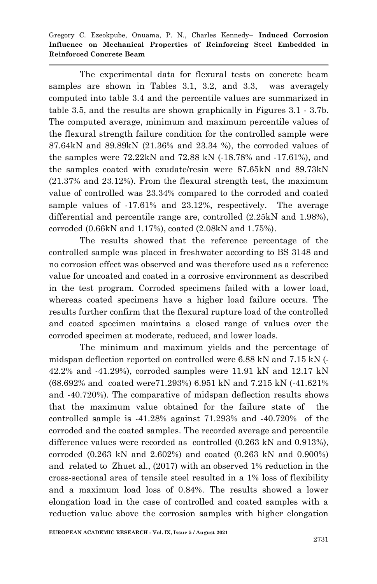The experimental data for flexural tests on concrete beam samples are shown in Tables 3.1, 3.2, and 3.3, was averagely computed into table 3.4 and the percentile values are summarized in table 3.5, and the results are shown graphically in Figures 3.1 - 3.7b. The computed average, minimum and maximum percentile values of the flexural strength failure condition for the controlled sample were 87.64kN and 89.89kN (21.36% and 23.34 %), the corroded values of the samples were 72.22kN and 72.88 kN (-18.78% and -17.61%), and the samples coated with exudate/resin were 87.65kN and 89.73kN (21.37% and 23.12%). From the flexural strength test, the maximum value of controlled was 23.34% compared to the corroded and coated sample values of -17.61% and 23.12%, respectively. The average differential and percentile range are, controlled (2.25kN and 1.98%), corroded (0.66kN and 1.17%), coated (2.08kN and 1.75%).

The results showed that the reference percentage of the controlled sample was placed in freshwater according to BS 3148 and no corrosion effect was observed and was therefore used as a reference value for uncoated and coated in a corrosive environment as described in the test program. Corroded specimens failed with a lower load, whereas coated specimens have a higher load failure occurs. The results further confirm that the flexural rupture load of the controlled and coated specimen maintains a closed range of values over the corroded specimen at moderate, reduced, and lower loads.

The minimum and maximum yields and the percentage of midspan deflection reported on controlled were 6.88 kN and 7.15 kN (- 42.2% and -41.29%), corroded samples were 11.91 kN and 12.17 kN (68.692% and coated were71.293%) 6.951 kN and 7.215 kN (-41.621% and -40.720%). The comparative of midspan deflection results shows that the maximum value obtained for the failure state of the controlled sample is -41.28% against 71.293% and -40.720% of the corroded and the coated samples. The recorded average and percentile difference values were recorded as controlled (0.263 kN and 0.913%), corroded (0.263 kN and 2.602%) and coated (0.263 kN and 0.900%) and related to Zhuet al., (2017) with an observed 1% reduction in the cross-sectional area of tensile steel resulted in a 1% loss of flexibility and a maximum load loss of 0.84%. The results showed a lower elongation load in the case of controlled and coated samples with a reduction value above the corrosion samples with higher elongation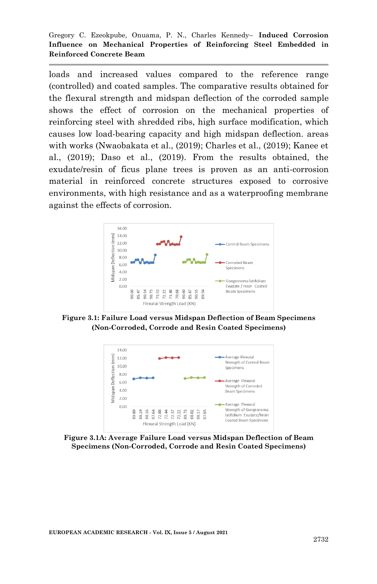loads and increased values compared to the reference range (controlled) and coated samples. The comparative results obtained for the flexural strength and midspan deflection of the corroded sample shows the effect of corrosion on the mechanical properties of reinforcing steel with shredded ribs, high surface modification, which causes low load-bearing capacity and high midspan deflection. areas with works (Nwaobakata et al., (2019); Charles et al., (2019); Kanee et al., (2019); Daso et al., (2019). From the results obtained, the exudate/resin of ficus plane trees is proven as an anti-corrosion material in reinforced concrete structures exposed to corrosive environments, with high resistance and as a waterproofing membrane against the effects of corrosion.



**Figure 3.1: Failure Load versus Midspan Deflection of Beam Specimens (Non-Corroded, Corrode and Resin Coated Specimens)**



**Figure 3.1A: Average Failure Load versus Midspan Deflection of Beam Specimens (Non-Corroded, Corrode and Resin Coated Specimens)**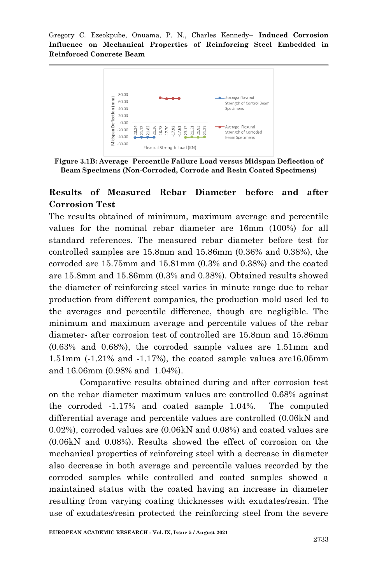

**Figure 3.1B: Average Percentile Failure Load versus Midspan Deflection of Beam Specimens (Non-Corroded, Corrode and Resin Coated Specimens)**

# **Results of Measured Rebar Diameter before and after Corrosion Test**

The results obtained of minimum, maximum average and percentile values for the nominal rebar diameter are 16mm (100%) for all standard references. The measured rebar diameter before test for controlled samples are 15.8mm and 15.86mm (0.36% and 0.38%), the corroded are 15.75mm and 15.81mm (0.3% and 0.38%) and the coated are 15.8mm and 15.86mm (0.3% and 0.38%). Obtained results showed the diameter of reinforcing steel varies in minute range due to rebar production from different companies, the production mold used led to the averages and percentile difference, though are negligible. The minimum and maximum average and percentile values of the rebar diameter- after corrosion test of controlled are 15.8mm and 15.86mm (0.63% and 0.68%), the corroded sample values are 1.51mm and 1.51mm (-1.21% and -1.17%), the coated sample values are16.05mm and 16.06mm (0.98% and 1.04%).

Comparative results obtained during and after corrosion test on the rebar diameter maximum values are controlled 0.68% against the corroded -1.17% and coated sample 1.04%. The computed differential average and percentile values are controlled (0.06kN and 0.02%), corroded values are (0.06kN and 0.08%) and coated values are (0.06kN and 0.08%). Results showed the effect of corrosion on the mechanical properties of reinforcing steel with a decrease in diameter also decrease in both average and percentile values recorded by the corroded samples while controlled and coated samples showed a maintained status with the coated having an increase in diameter resulting from varying coating thicknesses with exudates/resin. The use of exudates/resin protected the reinforcing steel from the severe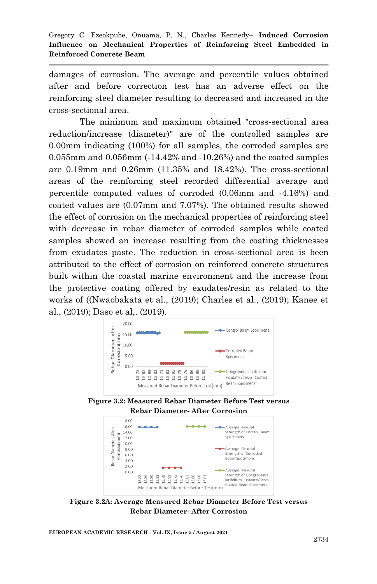damages of corrosion. The average and percentile values obtained after and before correction test has an adverse effect on the reinforcing steel diameter resulting to decreased and increased in the cross-sectional area.

The minimum and maximum obtained "cross-sectional area reduction/increase (diameter)" are of the controlled samples are 0.00mm indicating (100%) for all samples, the corroded samples are 0.055mm and 0.056mm (-14.42% and -10.26%) and the coated samples are 0.19mm and 0.26mm (11.35% and 18.42%). The cross-sectional areas of the reinforcing steel recorded differential average and percentile computed values of corroded (0.06mm and -4.16%) and coated values are (0.07mm and 7.07%). The obtained results showed the effect of corrosion on the mechanical properties of reinforcing steel with decrease in rebar diameter of corroded samples while coated samples showed an increase resulting from the coating thicknesses from exudates paste. The reduction in cross-sectional area is been attributed to the effect of corrosion on reinforced concrete structures built within the coastal marine environment and the increase from the protective coating offered by exudates/resin as related to the works of ((Nwaobakata et al., (2019); Charles et al., (2019); Kanee et al., (2019); Daso et al,. (2019).







**Figure 3.2A: Average Measured Rebar Diameter Before Test versus Rebar Diameter- After Corrosion**

**EUROPEAN ACADEMIC RESEARCH - Vol. IX, Issue 5 / August 2021**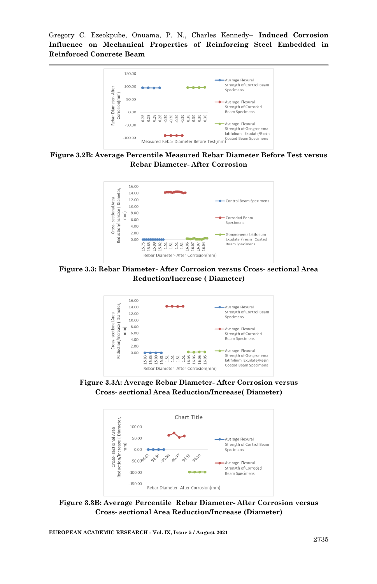

#### **Figure 3.2B: Average Percentile Measured Rebar Diameter Before Test versus Rebar Diameter- After Corrosion**



**Figure 3.3: Rebar Diameter- After Corrosion versus Cross- sectional Area Reduction/Increase ( Diameter)**



**Figure 3.3A: Average Rebar Diameter- After Corrosion versus Cross- sectional Area Reduction/Increase( Diameter)**



**Figure 3.3B: Average Percentile Rebar Diameter- After Corrosion versus Cross- sectional Area Reduction/Increase (Diameter)**

**EUROPEAN ACADEMIC RESEARCH - Vol. IX, Issue 5 / August 2021**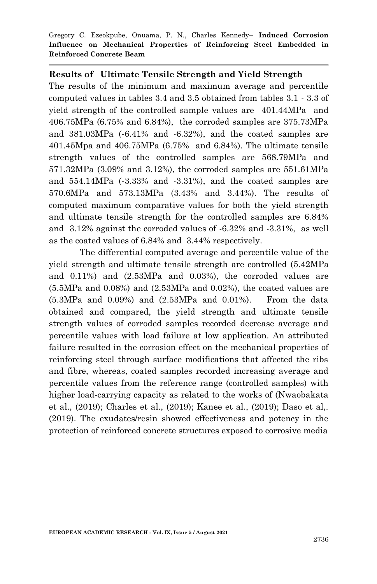#### **Results of Ultimate Tensile Strength and Yield Strength**

The results of the minimum and maximum average and percentile computed values in tables 3.4 and 3.5 obtained from tables 3.1 - 3.3 of yield strength of the controlled sample values are 401.44MPa and 406.75MPa (6.75% and 6.84%), the corroded samples are 375.73MPa and 381.03MPa (-6.41% and -6.32%), and the coated samples are 401.45Mpa and 406.75MPa (6.75% and 6.84%). The ultimate tensile strength values of the controlled samples are 568.79MPa and 571.32MPa (3.09% and 3.12%), the corroded samples are 551.61MPa and 554.14MPa (-3.33% and -3.31%), and the coated samples are 570.6MPa and 573.13MPa (3.43% and 3.44%). The results of computed maximum comparative values for both the yield strength and ultimate tensile strength for the controlled samples are 6.84% and 3.12% against the corroded values of -6.32% and -3.31%, as well as the coated values of 6.84% and 3.44% respectively.

The differential computed average and percentile value of the yield strength and ultimate tensile strength are controlled (5.42MPa and 0.11%) and (2.53MPa and 0.03%), the corroded values are  $(5.5MPa$  and  $0.08\%)$  and  $(2.53MPa$  and  $0.02\%)$ , the coated values are (5.3MPa and 0.09%) and (2.53MPa and 0.01%). From the data obtained and compared, the yield strength and ultimate tensile strength values of corroded samples recorded decrease average and percentile values with load failure at low application. An attributed failure resulted in the corrosion effect on the mechanical properties of reinforcing steel through surface modifications that affected the ribs and fibre, whereas, coated samples recorded increasing average and percentile values from the reference range (controlled samples) with higher load-carrying capacity as related to the works of (Nwaobakata et al., (2019); Charles et al., (2019); Kanee et al., (2019); Daso et al,. (2019). The exudates/resin showed effectiveness and potency in the protection of reinforced concrete structures exposed to corrosive media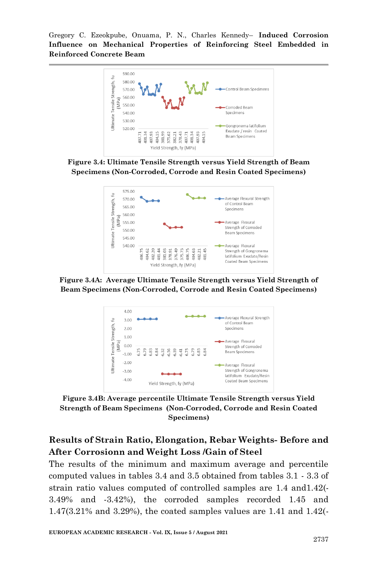

**Figure 3.4: Ultimate Tensile Strength versus Yield Strength of Beam Specimens (Non-Corroded, Corrode and Resin Coated Specimens)**



**Figure 3.4A: Average Ultimate Tensile Strength versus Yield Strength of Beam Specimens (Non-Corroded, Corrode and Resin Coated Specimens)**



**Figure 3.4B: Average percentile Ultimate Tensile Strength versus Yield Strength of Beam Specimens (Non-Corroded, Corrode and Resin Coated Specimens)**

# **Results of Strain Ratio, Elongation, Rebar Weights- Before and After Corrosionn and Weight Loss /Gain of Steel**

The results of the minimum and maximum average and percentile computed values in tables 3.4 and 3.5 obtained from tables 3.1 - 3.3 of strain ratio values computed of controlled samples are 1.4 and1.42(- 3.49% and -3.42%), the corroded samples recorded 1.45 and 1.47(3.21% and 3.29%), the coated samples values are 1.41 and 1.42(-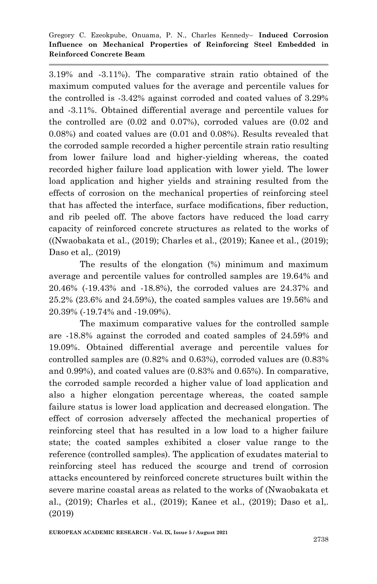3.19% and -3.11%). The comparative strain ratio obtained of the maximum computed values for the average and percentile values for the controlled is -3.42% against corroded and coated values of 3.29% and -3.11%. Obtained differential average and percentile values for the controlled are (0.02 and 0.07%), corroded values are (0.02 and 0.08%) and coated values are (0.01 and 0.08%). Results revealed that the corroded sample recorded a higher percentile strain ratio resulting from lower failure load and higher-yielding whereas, the coated recorded higher failure load application with lower yield. The lower load application and higher yields and straining resulted from the effects of corrosion on the mechanical properties of reinforcing steel that has affected the interface, surface modifications, fiber reduction, and rib peeled off. The above factors have reduced the load carry capacity of reinforced concrete structures as related to the works of ((Nwaobakata et al., (2019); Charles et al., (2019); Kanee et al., (2019); Daso et al., (2019)

The results of the elongation (%) minimum and maximum average and percentile values for controlled samples are 19.64% and 20.46% (-19.43% and -18.8%), the corroded values are 24.37% and 25.2% (23.6% and 24.59%), the coated samples values are 19.56% and 20.39% (-19.74% and -19.09%).

The maximum comparative values for the controlled sample are -18.8% against the corroded and coated samples of 24.59% and 19.09%. Obtained differential average and percentile values for controlled samples are (0.82% and 0.63%), corroded values are (0.83% and 0.99%), and coated values are (0.83% and 0.65%). In comparative, the corroded sample recorded a higher value of load application and also a higher elongation percentage whereas, the coated sample failure status is lower load application and decreased elongation. The effect of corrosion adversely affected the mechanical properties of reinforcing steel that has resulted in a low load to a higher failure state; the coated samples exhibited a closer value range to the reference (controlled samples). The application of exudates material to reinforcing steel has reduced the scourge and trend of corrosion attacks encountered by reinforced concrete structures built within the severe marine coastal areas as related to the works of (Nwaobakata et al., (2019); Charles et al., (2019); Kanee et al., (2019); Daso et al,. (2019)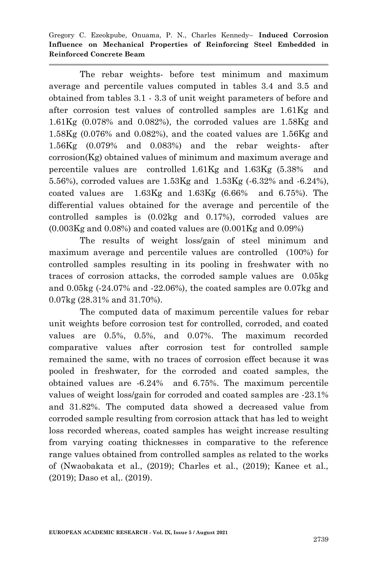The rebar weights- before test minimum and maximum average and percentile values computed in tables 3.4 and 3.5 and obtained from tables 3.1 - 3.3 of unit weight parameters of before and after corrosion test values of controlled samples are 1.61Kg and  $1.61Kg$  (0.078% and 0.082%), the corroded values are  $1.58Kg$  and 1.58Kg (0.076% and 0.082%), and the coated values are 1.56Kg and 1.56Kg (0.079% and 0.083%) and the rebar weights- after corrosion(Kg) obtained values of minimum and maximum average and percentile values are controlled 1.61Kg and 1.63Kg (5.38% and 5.56%), corroded values are 1.53Kg and 1.53Kg (-6.32% and -6.24%), coated values are 1.63Kg and 1.63Kg (6.66% and 6.75%). The differential values obtained for the average and percentile of the controlled samples is (0.02kg and 0.17%), corroded values are  $(0.003Kg$  and  $(0.08%)$  and coated values are  $(0.001Kg)$  and  $(0.09%)$ 

The results of weight loss/gain of steel minimum and maximum average and percentile values are controlled (100%) for controlled samples resulting in its pooling in freshwater with no traces of corrosion attacks, the corroded sample values are 0.05kg and 0.05kg (-24.07% and -22.06%), the coated samples are 0.07kg and 0.07kg (28.31% and 31.70%).

The computed data of maximum percentile values for rebar unit weights before corrosion test for controlled, corroded, and coated values are 0.5%, 0.5%, and 0.07%. The maximum recorded comparative values after corrosion test for controlled sample remained the same, with no traces of corrosion effect because it was pooled in freshwater, for the corroded and coated samples, the obtained values are -6.24% and 6.75%. The maximum percentile values of weight loss/gain for corroded and coated samples are -23.1% and 31.82%. The computed data showed a decreased value from corroded sample resulting from corrosion attack that has led to weight loss recorded whereas, coated samples has weight increase resulting from varying coating thicknesses in comparative to the reference range values obtained from controlled samples as related to the works of (Nwaobakata et al., (2019); Charles et al., (2019); Kanee et al., (2019); Daso et al,. (2019).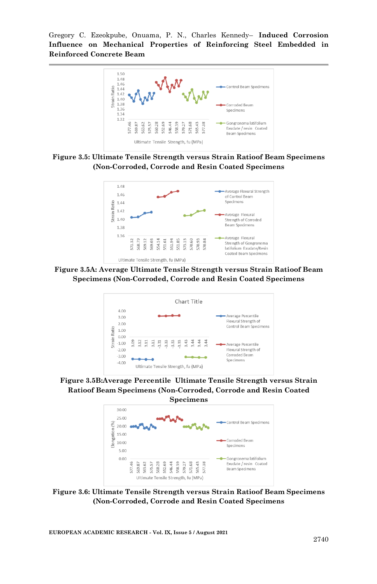

**Figure 3.5: Ultimate Tensile Strength versus Strain Ratioof Beam Specimens (Non-Corroded, Corrode and Resin Coated Specimens**



**Figure 3.5A: Average Ultimate Tensile Strength versus Strain Ratioof Beam Specimens (Non-Corroded, Corrode and Resin Coated Specimens**



**Figure 3.5B:Average Percentile Ultimate Tensile Strength versus Strain Ratioof Beam Specimens (Non-Corroded, Corrode and Resin Coated** 



**Figure 3.6: Ultimate Tensile Strength versus Strain Ratioof Beam Specimens (Non-Corroded, Corrode and Resin Coated Specimens**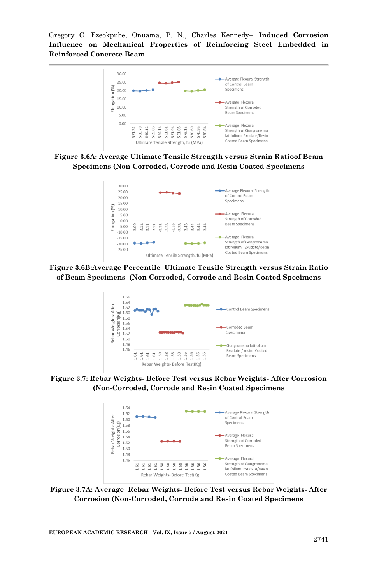

**Figure 3.6A: Average Ultimate Tensile Strength versus Strain Ratioof Beam Specimens (Non-Corroded, Corrode and Resin Coated Specimens**



**Figure 3.6B:Average Percentile Ultimate Tensile Strength versus Strain Ratio of Beam Specimens (Non-Corroded, Corrode and Resin Coated Specimens**



**Figure 3.7: Rebar Weights- Before Test versus Rebar Weights- After Corrosion (Non-Corroded, Corrode and Resin Coated Specimens**



**Figure 3.7A: Average Rebar Weights- Before Test versus Rebar Weights- After Corrosion (Non-Corroded, Corrode and Resin Coated Specimens**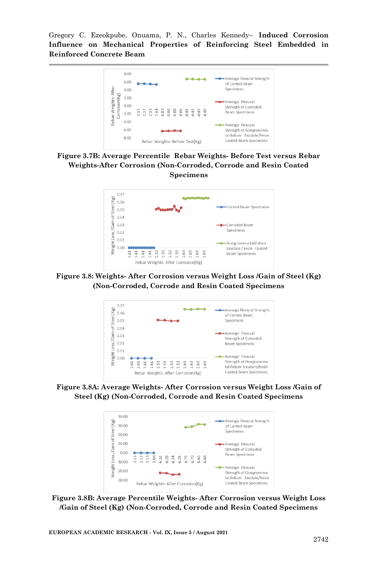

**Figure 3.7B: Average Percentile Rebar Weights- Before Test versus Rebar Weights-After Corrosion (Non-Corroded, Corrode and Resin Coated Specimens**



**Figure 3.8: Weights- After Corrosion versus Weight Loss /Gain of Steel (Kg) (Non-Corroded, Corrode and Resin Coated Specimens**



**Figure 3.8A: Average Weights- After Corrosion versus Weight Loss /Gain of Steel (Kg) (Non-Corroded, Corrode and Resin Coated Specimens**



**Figure 3.8B: Average Percentile Weights- After Corrosion versus Weight Loss /Gain of Steel (Kg) (Non-Corroded, Corrode and Resin Coated Specimens**

**EUROPEAN ACADEMIC RESEARCH - Vol. IX, Issue 5 / August 2021**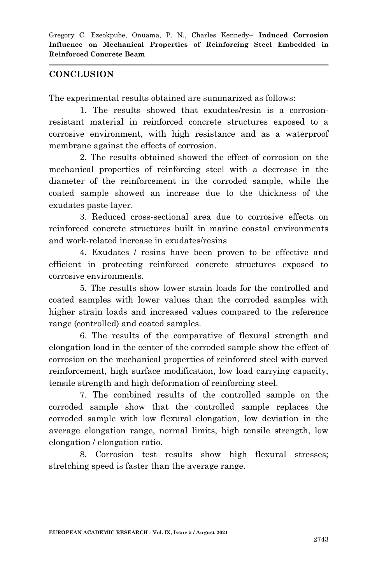### **CONCLUSION**

The experimental results obtained are summarized as follows:

1. The results showed that exudates/resin is a corrosionresistant material in reinforced concrete structures exposed to a corrosive environment, with high resistance and as a waterproof membrane against the effects of corrosion.

2. The results obtained showed the effect of corrosion on the mechanical properties of reinforcing steel with a decrease in the diameter of the reinforcement in the corroded sample, while the coated sample showed an increase due to the thickness of the exudates paste layer.

3. Reduced cross-sectional area due to corrosive effects on reinforced concrete structures built in marine coastal environments and work-related increase in exudates/resins

4. Exudates / resins have been proven to be effective and efficient in protecting reinforced concrete structures exposed to corrosive environments.

5. The results show lower strain loads for the controlled and coated samples with lower values than the corroded samples with higher strain loads and increased values compared to the reference range (controlled) and coated samples.

6. The results of the comparative of flexural strength and elongation load in the center of the corroded sample show the effect of corrosion on the mechanical properties of reinforced steel with curved reinforcement, high surface modification, low load carrying capacity, tensile strength and high deformation of reinforcing steel.

7. The combined results of the controlled sample on the corroded sample show that the controlled sample replaces the corroded sample with low flexural elongation, low deviation in the average elongation range, normal limits, high tensile strength, low elongation / elongation ratio.

8. Corrosion test results show high flexural stresses; stretching speed is faster than the average range.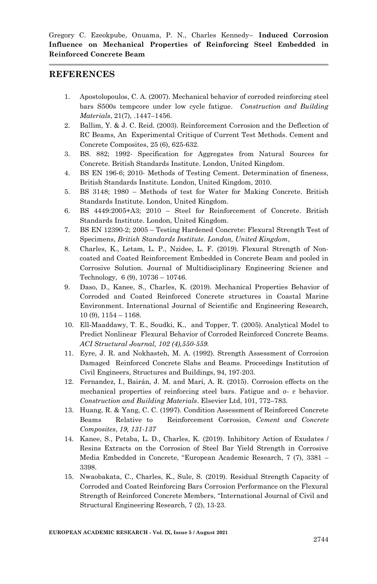#### **REFERENCES**

- 1. Apostolopoulos, C. A. (2007). Mechanical behavior of corroded reinforcing steel bars S500s tempcore under low cycle fatigue. *Construction and Building Materials*, 21(7), .1447–1456.
- 2. Ballim, Y. & J. C. Reid. (2003). Reinforcement Corrosion and the Deflection of RC Beams, An Experimental Critique of Current Test Methods. Cement and Concrete Composites, 25 (6), 625-632.
- 3. BS. 882; 1992- Specification for Aggregates from Natural Sources for Concrete. British Standards Institute. London, United Kingdom.
- 4. BS EN 196-6; 2010- Methods of Testing Cement. Determination of fineness, British Standards Institute. London, United Kingdom, 2010.
- 5. BS 3148; 1980 Methods of test for Water for Making Concrete. British Standards Institute. London, United Kingdom.
- 6. BS 4449:2005+A3; 2010 Steel for Reinforcement of Concrete. British Standards Institute. London, United Kingdom.
- 7. BS EN 12390-2; 2005 Testing Hardened Concrete: Flexural Strength Test of Specimens, *British Standards Institute. London, United Kingdom*,
- 8. Charles, K., Letam, L. P., Nzidee, L. F. (2019). Flexural Strength of Noncoated and Coated Reinforcement Embedded in Concrete Beam and pooled in Corrosive Solution. Journal of Multidisciplinary Engineering Science and Technology, 6 (9), 10736 – 10746.
- 9. Daso, D., Kanee, S., Charles, K. (2019). Mechanical Properties Behavior of Corroded and Coated Reinforced Concrete structures in Coastal Marine Environment. International Journal of Scientific and Engineering Research, 10 (9), 1154 – 1168.
- 10. Ell-Maaddawy, T. E., Soudki, K., and Topper, T. (2005). Analytical Model to Predict Nonlinear Flexural Behavior of Corroded Reinforced Concrete Beams. *ACI Structural Journal, 102 (4),550-559.*
- 11. Eyre, J. R. and Nokhasteh, M. A. (1992). Strength Assessment of Corrosion Damaged Reinforced Concrete Slabs and Beams. Proceedings Institution of Civil Engineers, Structures and Buildings, 94, 197-203.
- 12. Fernandez, I., Bairán, J. M. and Marí, A. R. (2015). Corrosion effects on the mechanical properties of reinforcing steel bars. Fatigue and σ- ε behavior. *Construction and Building Materials*. Elsevier Ltd, 101, 772–783.
- 13. Huang, R. & Yang, C. C. (1997). Condition Assessment of Reinforced Concrete Beams Relative to Reinforcement Corrosion, *Cement and Concrete Composites*, *19, 131-137*
- 14. Kanee, S., Petaba, L. D., Charles, K. (2019). Inhibitory Action of Exudates / Resins Extracts on the Corrosion of Steel Bar Yield Strength in Corrosive Media Embedded in Concrete, "European Academic Research, 7 (7), 3381 – 3398.
- 15. Nwaobakata, C., Charles, K., Sule, S. (2019). Residual Strength Capacity of Corroded and Coated Reinforcing Bars Corrosion Performance on the Flexural Strength of Reinforced Concrete Members, "International Journal of Civil and Structural Engineering Research, 7 (2), 13-23.